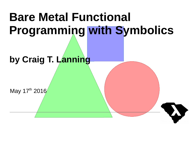# **Bare Metal Functional Programming with Symbolics**

#### **by Craig T. Lanning**

May 17th 2016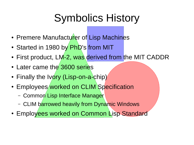# Symbolics History

- Premere Manufacturer of Lisp Machines
- Started in 1980 by PhD's from MIT
- First product, LM-2, was derived from the MIT CADDR
- Later came the 3600 series
- Finally the Ivory (Lisp-on-a-chip)
- Employees worked on CLIM Specification
	- Common Lisp Interface Manager
	- CLIM barrowed heavily from Dynamic Windows
- Employees worked on Common Lisp Standard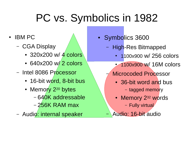# PC vs. Symbolics in 1982

- **IBM PC** 
	- CGA Display
		- 320x200 w/ 4 colors
		- $\cdot$  640x200 w/2 colors
	- Intel 8086 Processor
		- 16-bit word, 8-bit bus
		- Memory 2<sup>20</sup> bytes
			- 640K addressable
			- 256K RAM max
	- Audio: internal speaker
- Symbolics 3600
	- High-Res Bitmapped
		- 1100x900 w/ 256 colors
		- 1100x900 w/ 16M colors
		- Microcoded Processor
			- 36-bit word and bus
				- tagged memory
			- Memory 2<sup>32</sup> words
				- Fully virtual
		- Audio: 16-bit audio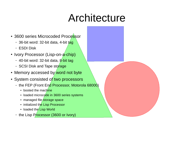### Architecture

- 3600 series Microcoded Processor
	- 36-bit word: 32-bit data, 4-bit tag
	- ESDI Disk
- Ivory Processor (Lisp-on-a-chip)
	- 40-bit word: 32-bit data, 8-bit tag
	- SCSI Disk and Tape storage
- Memory accessed by word not byte
- System consisted of two processors
	- the FEP (Front End Processor, Motorola 68000)
		- booted the machine
		- loaded microcode in 3600 series systems
		- managed file storage space
		- initialized the Lisp Processor
		- loaded the Lisp World
	- the Lisp Processor (3600 or Ivory)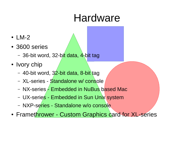### Hardware

- $\cdot$  LM-2
- 3600 series
	- 36-bit word, 32-bit data, 4-bit tag
- Ivory chip
	- 40-bit word, 32-bit data, 8-bit tag
	- XL-series Standalone w/ console
	- NX-series Embedded in NuBus based Mac
	- UX-series Embedded in Sun Unix system
	- NXP-series Standalone w/o console
- Framethrower Custom Graphics card for XL-series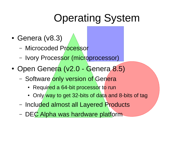# Operating System

- $\cdot$  Genera (v8.3)
	- Microcoded Processor
	- Ivory Processor (microprocessor)
- Open Genera (v2.0 Genera 8.5)
	- Software only version of Genera
		- Required a 64-bit processor to run
		- Only way to get 32-bits of data and 8-bits of tag
	- Included almost all Layered Products
	- DEC Alpha was hardware platform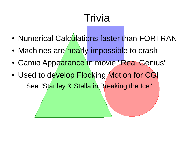# Trivia

- Numerical Calculations faster than FORTRAN
- Machines are nearly impossible to crash
- Camio Appearance in movie "Real Genius"
- Used to develop Flocking Motion for CGI
	- See "Stanley & Stella in Breaking the Ice"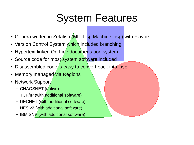### System Features

- Genera written in Zetalisp (MIT Lisp Machine Lisp) with Flavors
- Version Control System which included branching
- Hypertext linked On-Line documentation system
- Source code for most system software included
- Disassembled code is easy to convert back into Lisp
- Memory managed via Regions
- Network Support
	- CHAOSNET (native)
	- TCP/IP (with additional software)
	- DECNET (with additional software)
	- NFS v2 (with additional software)
	- $-$  IBM SN $\overline{A}$  (with additional software)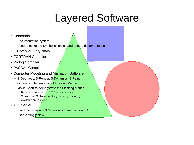# Layered Software

- Concordia
	- Documentation system
	- Used to make the Symbolics online and printed documentation
- C Compiler (very slow)
- FORTRAN Compiler
- Prolog Compiler
- PASCAL Compiler
- Computer Modeling and Animation Software
	- S-Geometry, S-Render, S-Dynamics, S-Paint
	- Original implementation of Flocking Motion
	- Movie Short to demonstrate the Flocking Motion
		- Rendered on a farm of 3600 series machines
		- Stanley and Stella in Breaking the Ice (3 minutes)
		- Available on YouTube
- X11 Server
	- Used the reference X Server which was written in C
	- Excruciatingly slow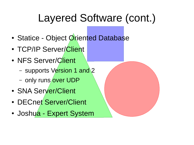# Layered Software (cont.)

- Statice Object Oriented Database
- TCP/IP Server/Client
- NFS Server/Client
	- supports Version 1 and 2
	- only runs over UDP
- SNA Server/Client
- DECnet Server/Client
- Joshua Expert System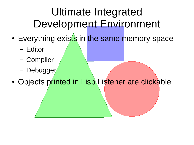# Ultimate Integrated Development Environment

- Everything exists in the same memory space
	- Editor
	- Compiler
	- Debugger
- Objects printed in Lisp Listener are clickable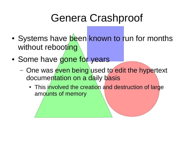# Genera Crashproof

- Systems have been known to run for months without rebooting
- Some have gone for years
	- One was even being used to edit the hypertext documentation on a daily basis
		- This involved the creation and destruction of large amounts of memory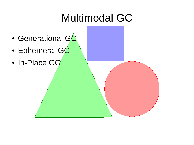# Multimodal GC

- Generational GC
- Ephemeral GC
- In-Place GC